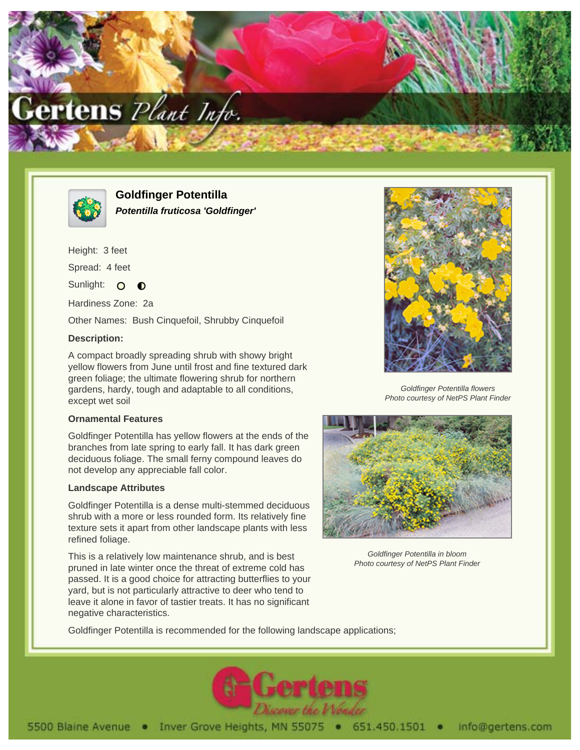



**Goldfinger Potentilla Potentilla fruticosa 'Goldfinger'**

Height: 3 feet Spread: 4 feet Sunlight: O  $\bullet$ 

Hardiness Zone: 2a

Other Names: Bush Cinquefoil, Shrubby Cinquefoil

## **Description:**

A compact broadly spreading shrub with showy bright yellow flowers from June until frost and fine textured dark green foliage; the ultimate flowering shrub for northern gardens, hardy, tough and adaptable to all conditions, except wet soil

## **Ornamental Features**

Goldfinger Potentilla has yellow flowers at the ends of the branches from late spring to early fall. It has dark green deciduous foliage. The small ferny compound leaves do not develop any appreciable fall color.

## **Landscape Attributes**

Goldfinger Potentilla is a dense multi-stemmed deciduous shrub with a more or less rounded form. Its relatively fine texture sets it apart from other landscape plants with less refined foliage.

This is a relatively low maintenance shrub, and is best pruned in late winter once the threat of extreme cold has passed. It is a good choice for attracting butterflies to your yard, but is not particularly attractive to deer who tend to leave it alone in favor of tastier treats. It has no significant negative characteristics.



Goldfinger Potentilla flowers Photo courtesy of NetPS Plant Finder



Goldfinger Potentilla in bloom Photo courtesy of NetPS Plant Finder

Goldfinger Potentilla is recommended for the following landscape applications;